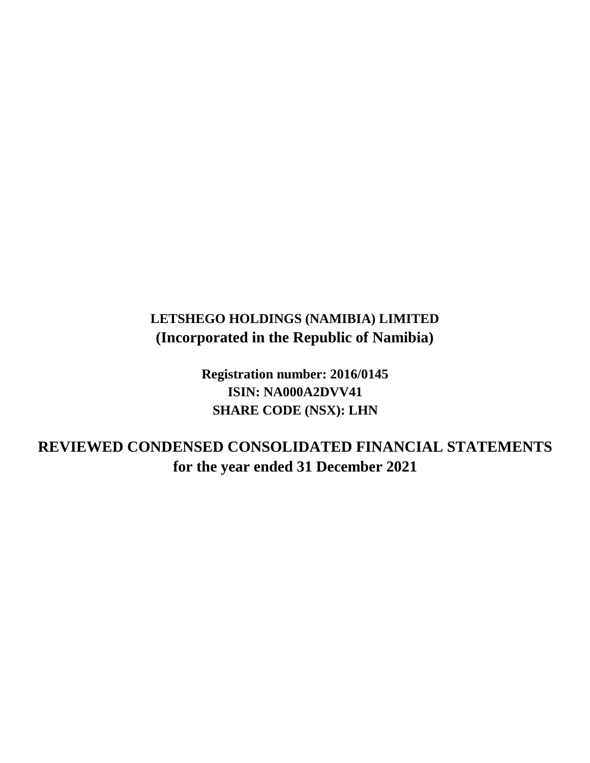# **LETSHEGO HOLDINGS (NAMIBIA) LIMITED (Incorporated in the Republic of Namibia)**

**Registration number: 2016/0145 ISIN: NA000A2DVV41 SHARE CODE (NSX): LHN**

**for the year ended 31 December 2021 REVIEWED CONDENSED CONSOLIDATED FINANCIAL STATEMENTS**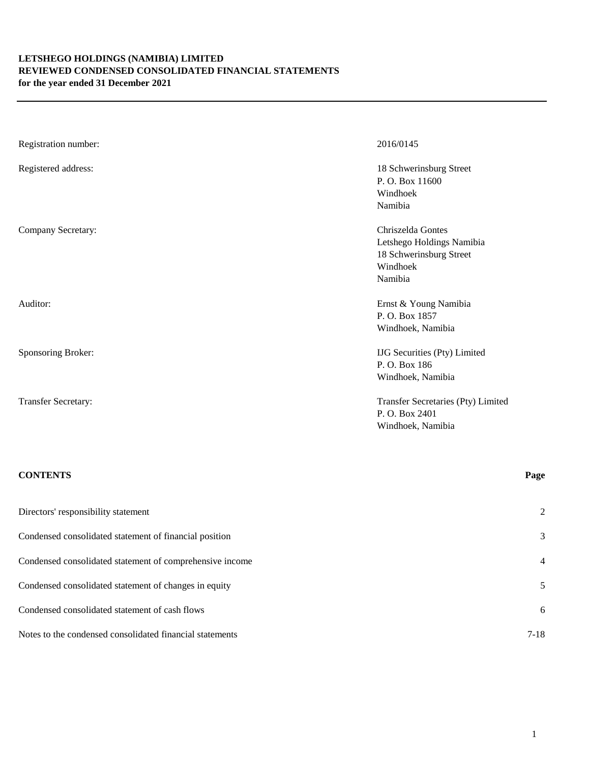# **LETSHEGO HOLDINGS (NAMIBIA) LIMITED REVIEWED CONDENSED CONSOLIDATED FINANCIAL STATEMENTS for the year ended 31 December 2021**

| Registration number:       | 2016/0145                                                                                        |
|----------------------------|--------------------------------------------------------------------------------------------------|
| Registered address:        | 18 Schwerinsburg Street<br>P.O. Box 11600<br>Windhoek<br>Namibia                                 |
| Company Secretary:         | Chriszelda Gontes<br>Letshego Holdings Namibia<br>18 Schwerinsburg Street<br>Windhoek<br>Namibia |
| Auditor:                   | Ernst & Young Namibia<br>P.O. Box 1857<br>Windhoek, Namibia                                      |
| Sponsoring Broker:         | <b>IJG</b> Securities (Pty) Limited<br>P.O. Box 186<br>Windhoek, Namibia                         |
| <b>Transfer Secretary:</b> | Transfer Secretaries (Pty) Limited<br>P.O. Box 2401<br>Windhoek, Namibia                         |

# **CONTENTS Page**

| Directors' responsibility statement                      | 2              |
|----------------------------------------------------------|----------------|
| Condensed consolidated statement of financial position   | 3              |
| Condensed consolidated statement of comprehensive income | $\overline{4}$ |
| Condensed consolidated statement of changes in equity    | 5              |
| Condensed consolidated statement of cash flows           | 6              |
| Notes to the condensed consolidated financial statements | $7 - 18$       |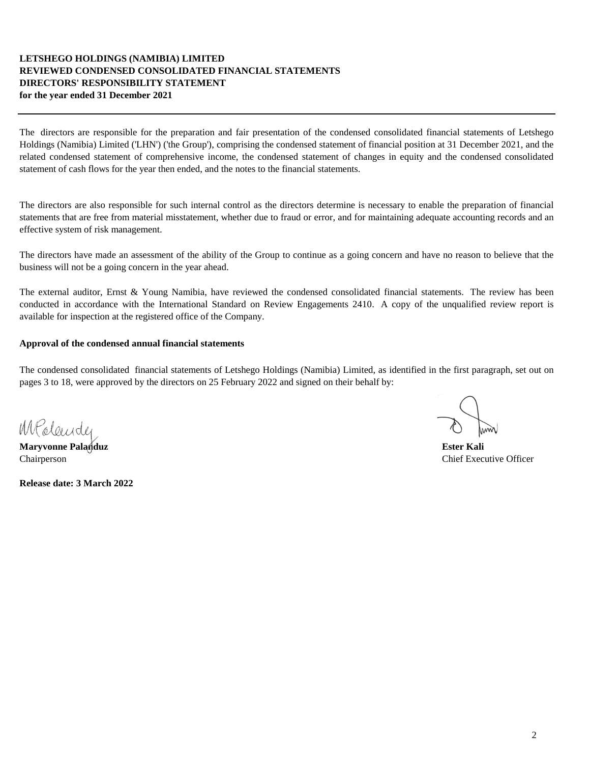# **LETSHEGO HOLDINGS (NAMIBIA) LIMITED REVIEWED CONDENSED CONSOLIDATED FINANCIAL STATEMENTS DIRECTORS' RESPONSIBILITY STATEMENT for the year ended 31 December 2021**

The directors are responsible for the preparation and fair presentation of the condensed consolidated financial statements of Letshego Holdings (Namibia) Limited ('LHN') ('the Group'), comprising the condensed statement of financial position at 31 December 2021, and the related condensed statement of comprehensive income, the condensed statement of changes in equity and the condensed consolidated statement of cash flows for the year then ended, and the notes to the financial statements.

The directors are also responsible for such internal control as the directors determine is necessary to enable the preparation of financial statements that are free from material misstatement, whether due to fraud or error, and for maintaining adequate accounting records and an effective system of risk management.

The directors have made an assessment of the ability of the Group to continue as a going concern and have no reason to believe that the business will not be a going concern in the year ahead.

The external auditor, Ernst & Young Namibia, have reviewed the condensed consolidated financial statements. The review has been conducted in accordance with the International Standard on Review Engagements 2410. A copy of the unqualified review report is available for inspection at the registered office of the Company.

# **Approval of the condensed annual financial statements**

The condensed consolidated financial statements of Letshego Holdings (Namibia) Limited, as identified in the first paragraph, set out on pages 3 to 18, were approved by the directors on 25 February 2022 and signed on their behalf by:

MPoleender

**Maryvonne Palanduz Ester Kali** Chairperson Chairperson Chairperson Chairperson Chairperson Chairperson Chairperson Chairperson Chairperson Chairperson Chairperson Chairperson Chairperson Chairperson Chairperson Chairperson Chairperson Chairperson Chairp

**Release date: 3 March 2022**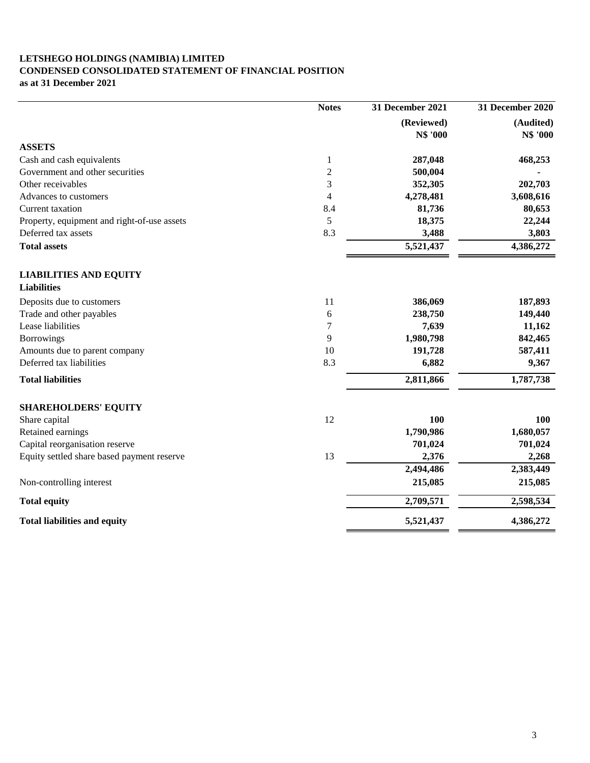# **LETSHEGO HOLDINGS (NAMIBIA) LIMITED CONDENSED CONSOLIDATED STATEMENT OF FINANCIAL POSITION**

**as at 31 December 2021**

|                                             | <b>Notes</b>   | 31 December 2021 | 31 December 2020 |
|---------------------------------------------|----------------|------------------|------------------|
|                                             |                | (Reviewed)       | (Audited)        |
|                                             |                | N\$ '000         | N\$ '000         |
| <b>ASSETS</b>                               |                |                  |                  |
| Cash and cash equivalents                   | $\mathbf{1}$   | 287,048          | 468,253          |
| Government and other securities             | $\overline{c}$ | 500,004          |                  |
| Other receivables                           | 3              | 352,305          | 202,703          |
| Advances to customers                       | 4              | 4,278,481        | 3,608,616        |
| <b>Current taxation</b>                     | 8.4            | 81,736           | 80,653           |
| Property, equipment and right-of-use assets | 5              | 18,375           | 22,244           |
| Deferred tax assets                         | 8.3            | 3,488            | 3,803            |
| <b>Total assets</b>                         |                | 5,521,437        | 4,386,272        |
| <b>LIABILITIES AND EQUITY</b>               |                |                  |                  |
| <b>Liabilities</b>                          |                |                  |                  |
| Deposits due to customers                   | 11             | 386,069          | 187,893          |
| Trade and other payables                    | 6              | 238,750          | 149,440          |
| Lease liabilities                           | 7              | 7,639            | 11,162           |
| <b>Borrowings</b>                           | 9              | 1,980,798        | 842,465          |
| Amounts due to parent company               | 10             | 191,728          | 587,411          |
| Deferred tax liabilities                    | 8.3            | 6,882            | 9,367            |
| <b>Total liabilities</b>                    |                | 2,811,866        | 1,787,738        |
| <b>SHAREHOLDERS' EQUITY</b>                 |                |                  |                  |
| Share capital                               | 12             | 100              | 100              |
| Retained earnings                           |                | 1,790,986        | 1,680,057        |
| Capital reorganisation reserve              |                | 701,024          | 701,024          |
| Equity settled share based payment reserve  | 13             | 2,376            | 2,268            |
|                                             |                | 2,494,486        | 2,383,449        |
| Non-controlling interest                    |                | 215,085          | 215,085          |
| <b>Total equity</b>                         |                | 2,709,571        | 2,598,534        |
| <b>Total liabilities and equity</b>         |                | 5,521,437        | 4,386,272        |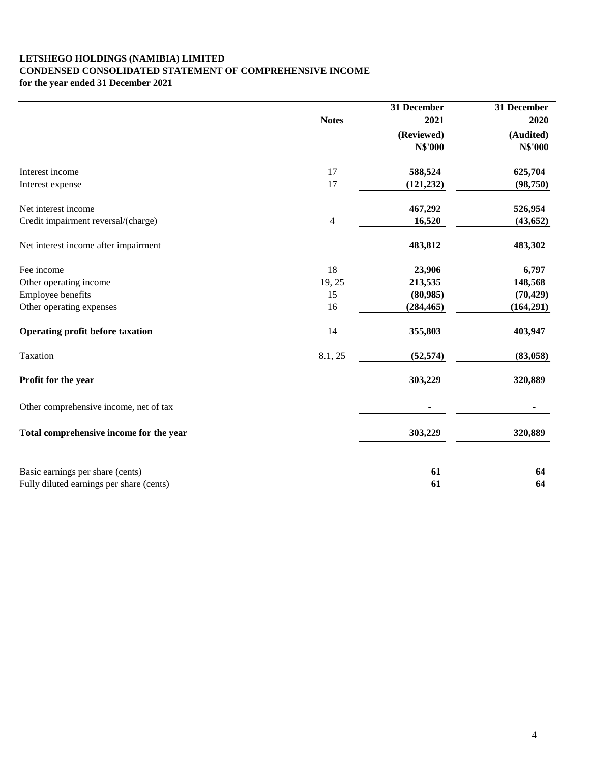# **LETSHEGO HOLDINGS (NAMIBIA) LIMITED CONDENSED CONSOLIDATED STATEMENT OF COMPREHENSIVE INCOME for the year ended 31 December 2021**

|                                          | <b>Notes</b> | 31 December<br>2021          | 31 December<br>2020         |
|------------------------------------------|--------------|------------------------------|-----------------------------|
|                                          |              | (Reviewed)<br><b>N\$'000</b> | (Audited)<br><b>N\$'000</b> |
| Interest income                          | 17           | 588,524                      | 625,704                     |
| Interest expense                         | 17           | (121, 232)                   | (98, 750)                   |
| Net interest income                      |              | 467,292                      | 526,954                     |
| Credit impairment reversal/(charge)      | 4            | 16,520                       | (43, 652)                   |
| Net interest income after impairment     |              | 483,812                      | 483,302                     |
| Fee income                               | 18           | 23,906                       | 6,797                       |
| Other operating income                   | 19, 25       | 213,535                      | 148,568                     |
| Employee benefits                        | 15           | (80,985)                     | (70, 429)                   |
| Other operating expenses                 | 16           | (284, 465)                   | (164,291)                   |
| <b>Operating profit before taxation</b>  | 14           | 355,803                      | 403,947                     |
| Taxation                                 | 8.1, 25      | (52, 574)                    | (83,058)                    |
| Profit for the year                      |              | 303,229                      | 320,889                     |
| Other comprehensive income, net of tax   |              |                              |                             |
| Total comprehensive income for the year  |              | 303,229                      | 320,889                     |
| Basic earnings per share (cents)         |              | 61                           | 64                          |
| Fully diluted earnings per share (cents) |              | 61                           | 64                          |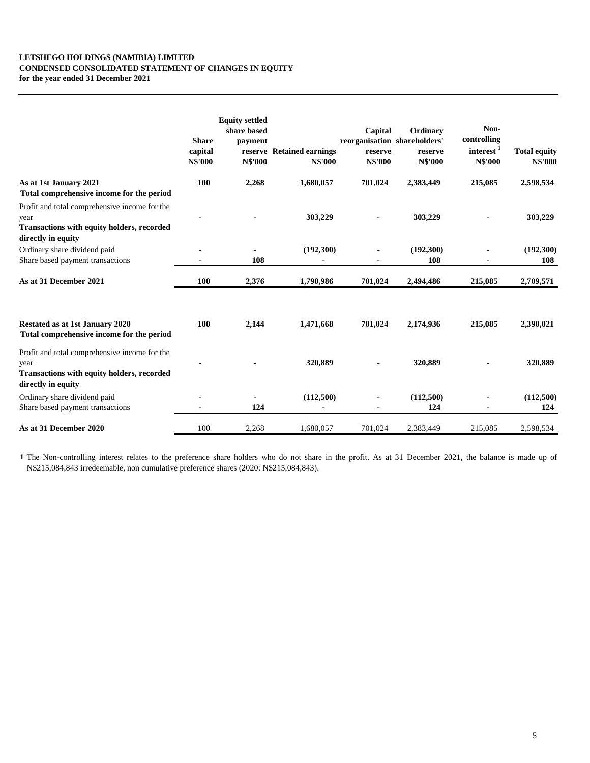# **LETSHEGO HOLDINGS (NAMIBIA) LIMITED CONDENSED CONSOLIDATED STATEMENT OF CHANGES IN EQUITY for the year ended 31 December 2021**

|                                                                                                                           | <b>Share</b><br>capital<br><b>N\$'000</b> | <b>Equity settled</b><br>share based<br>payment<br><b>N\$'000</b> | reserve Retained earnings<br><b>N\$'000</b> | Capital<br>reorganisation shareholders'<br>reserve<br><b>N\$'000</b> | Ordinary<br>reserve<br><b>N\$'000</b> | Non-<br>controlling<br>$interest$ <sup>1</sup><br><b>N\$'000</b> | <b>Total equity</b><br><b>N\$'000</b> |
|---------------------------------------------------------------------------------------------------------------------------|-------------------------------------------|-------------------------------------------------------------------|---------------------------------------------|----------------------------------------------------------------------|---------------------------------------|------------------------------------------------------------------|---------------------------------------|
| As at 1st January 2021<br>Total comprehensive income for the period                                                       | 100                                       | 2,268                                                             | 1,680,057                                   | 701,024                                                              | 2,383,449                             | 215,085                                                          | 2,598,534                             |
| Profit and total comprehensive income for the<br>year<br>Transactions with equity holders, recorded<br>directly in equity |                                           |                                                                   | 303,229                                     |                                                                      | 303,229                               |                                                                  | 303,229                               |
| Ordinary share dividend paid<br>Share based payment transactions                                                          |                                           | 108                                                               | (192,300)                                   |                                                                      | (192,300)<br>108                      |                                                                  | (192,300)<br>108                      |
| As at 31 December 2021                                                                                                    | 100                                       | 2,376                                                             | 1,790,986                                   | 701,024                                                              | 2,494,486                             | 215,085                                                          | 2,709,571                             |
| Restated as at 1st January 2020<br>Total comprehensive income for the period                                              | 100                                       | 2,144                                                             | 1,471,668                                   | 701,024                                                              | 2,174,936                             | 215,085                                                          | 2,390,021                             |
| Profit and total comprehensive income for the<br>year<br>Transactions with equity holders, recorded<br>directly in equity |                                           |                                                                   | 320,889                                     |                                                                      | 320,889                               |                                                                  | 320,889                               |
| Ordinary share dividend paid<br>Share based payment transactions                                                          |                                           | 124                                                               | (112,500)                                   |                                                                      | (112,500)<br>124                      |                                                                  | (112,500)<br>124                      |
| As at 31 December 2020                                                                                                    | 100                                       | 2,268                                                             | 1,680,057                                   | 701,024                                                              | 2,383,449                             | 215,085                                                          | 2,598,534                             |

**1** The Non-controlling interest relates to the preference share holders who do not share in the profit. As at 31 December 2021, the balance is made up of N\$215,084,843 irredeemable, non cumulative preference shares (2020: N\$215,084,843).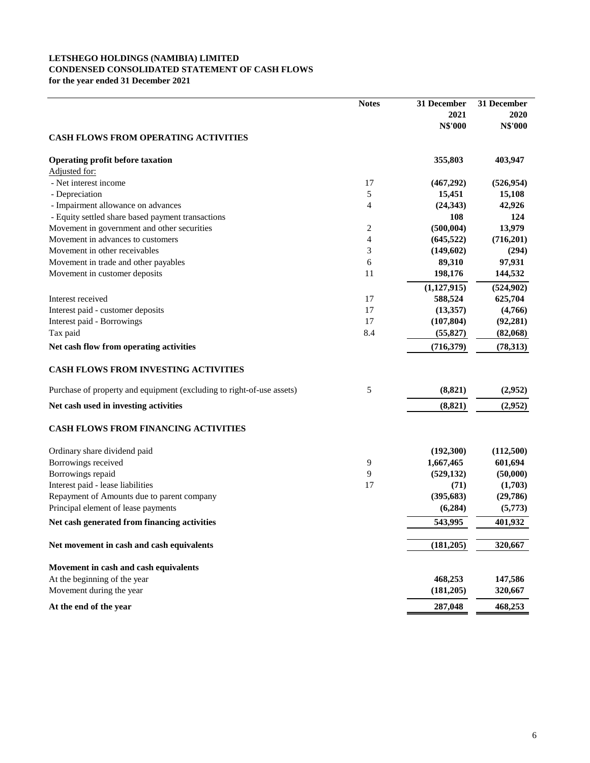# **LETSHEGO HOLDINGS (NAMIBIA) LIMITED CONDENSED CONSOLIDATED STATEMENT OF CASH FLOWS for the year ended 31 December 2021**

|                                                                       | <b>Notes</b> | 31 December    | 31 December    |
|-----------------------------------------------------------------------|--------------|----------------|----------------|
|                                                                       |              | 2021           | 2020           |
|                                                                       |              | <b>N\$'000</b> | <b>N\$'000</b> |
| <b>CASH FLOWS FROM OPERATING ACTIVITIES</b>                           |              |                |                |
| <b>Operating profit before taxation</b>                               |              | 355,803        | 403,947        |
| Adjusted for:                                                         |              |                |                |
| - Net interest income                                                 | 17           | (467,292)      | (526, 954)     |
| - Depreciation                                                        | 5            | 15,451         | 15,108         |
| - Impairment allowance on advances                                    | 4            | (24, 343)      | 42,926         |
| - Equity settled share based payment transactions                     |              | 108            | 124            |
| Movement in government and other securities                           | 2            | (500, 004)     | 13,979         |
| Movement in advances to customers                                     | 4            | (645, 522)     | (716,201)      |
| Movement in other receivables                                         | 3            | (149, 602)     | (294)          |
| Movement in trade and other payables                                  | 6            | 89,310         | 97,931         |
| Movement in customer deposits                                         | 11           | 198,176        | 144,532        |
|                                                                       |              | (1,127,915)    | (524, 902)     |
| Interest received                                                     | 17           | 588,524        | 625,704        |
| Interest paid - customer deposits                                     | 17           | (13,357)       | (4,766)        |
| Interest paid - Borrowings                                            | 17           | (107, 804)     | (92, 281)      |
| Tax paid                                                              | 8.4          | (55, 827)      | (82,068)       |
| Net cash flow from operating activities                               |              | (716, 379)     | (78, 313)      |
| <b>CASH FLOWS FROM INVESTING ACTIVITIES</b>                           |              |                |                |
| Purchase of property and equipment (excluding to right-of-use assets) | 5            | (8, 821)       | (2,952)        |
| Net cash used in investing activities                                 |              | (8, 821)       | (2,952)        |
| <b>CASH FLOWS FROM FINANCING ACTIVITIES</b>                           |              |                |                |
| Ordinary share dividend paid                                          |              | (192,300)      | (112,500)      |
| Borrowings received                                                   | 9            | 1,667,465      | 601,694        |
| Borrowings repaid                                                     | 9            | (529, 132)     | (50,000)       |
| Interest paid - lease liabilities                                     | 17           | (71)           | (1,703)        |
| Repayment of Amounts due to parent company                            |              | (395, 683)     | (29,786)       |
| Principal element of lease payments                                   |              | (6, 284)       | (5,773)        |
| Net cash generated from financing activities                          |              | 543,995        | 401,932        |
| Net movement in cash and cash equivalents                             |              | (181, 205)     | 320,667        |
| Movement in cash and cash equivalents                                 |              |                |                |
| At the beginning of the year                                          |              | 468,253        | 147,586        |
| Movement during the year                                              |              | (181, 205)     | 320,667        |
| At the end of the year                                                |              | 287,048        | 468,253        |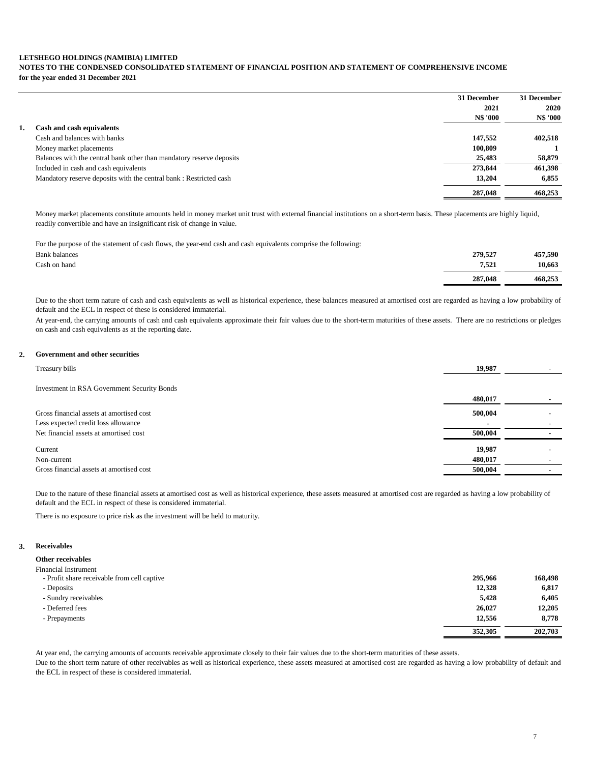# **LETSHEGO HOLDINGS (NAMIBIA) LIMITED NOTES TO THE CONDENSED CONSOLIDATED STATEMENT OF FINANCIAL POSITION AND STATEMENT OF COMPREHENSIVE INCOME for the year ended 31 December 2021**

|    |                                                                      | 31 December     | 31 December     |
|----|----------------------------------------------------------------------|-----------------|-----------------|
|    |                                                                      | 2021            | 2020            |
|    |                                                                      | <b>N\$ '000</b> | <b>N\$ '000</b> |
| 1. | Cash and cash equivalents                                            |                 |                 |
|    | Cash and balances with banks                                         | 147,552         | 402,518         |
|    | Money market placements                                              | 100,809         |                 |
|    | Balances with the central bank other than mandatory reserve deposits | 25,483          | 58,879          |
|    | Included in cash and cash equivalents                                | 273,844         | 461,398         |
|    | Mandatory reserve deposits with the central bank: Restricted cash    | 13.204          | 6,855           |
|    |                                                                      | 287,048         | 468,253         |

Money market placements constitute amounts held in money market unit trust with external financial institutions on a short-term basis. These placements are highly liquid, readily convertible and have an insignificant risk of change in value.

For the purpose of the statement of cash flows, the year-end cash and cash equivalents comprise the following:

| <b>Bank balances</b> | 279,527 | 457,590 |
|----------------------|---------|---------|
| Cash on hand         | 7,521   | 10,663  |
|                      | 287,048 | 468.253 |

Due to the short term nature of cash and cash equivalents as well as historical experience, these balances measured at amortised cost are regarded as having a low probability of default and the ECL in respect of these is considered immaterial.

At year-end, the carrying amounts of cash and cash equivalents approximate their fair values due to the short-term maturities of these assets. There are no restrictions or pledges on cash and cash equivalents as at the reporting date.

# **2. Government and other securities**

| Treasury bills                              | 19,987         |  |
|---------------------------------------------|----------------|--|
|                                             |                |  |
| Investment in RSA Government Security Bonds |                |  |
|                                             | 480,017        |  |
| Gross financial assets at amortised cost    | 500,004        |  |
| Less expected credit loss allowance         | $\blacksquare$ |  |
| Net financial assets at amortised cost      | 500,004        |  |
| Current                                     | 19,987         |  |
| Non-current                                 | 480,017        |  |
| Gross financial assets at amortised cost    | 500,004        |  |

Due to the nature of these financial assets at amortised cost as well as historical experience, these assets measured at amortised cost are regarded as having a low probability of default and the ECL in respect of these is considered immaterial.

There is no exposure to price risk as the investment will be held to maturity.

## **3. Receivables**

# **Other receivables**

| <b>Financial Instrument</b>                 |         |         |
|---------------------------------------------|---------|---------|
| - Profit share receivable from cell captive | 295,966 | 168,498 |
| - Deposits                                  | 12,328  | 6,817   |
| - Sundry receivables                        | 5,428   | 6,405   |
| - Deferred fees                             | 26,027  | 12.205  |
| - Prepayments                               | 12,556  | 8,778   |
|                                             | 352,305 | 202,703 |

At year end, the carrying amounts of accounts receivable approximate closely to their fair values due to the short-term maturities of these assets.

Due to the short term nature of other receivables as well as historical experience, these assets measured at amortised cost are regarded as having a low probability of default and the ECL in respect of these is considered immaterial.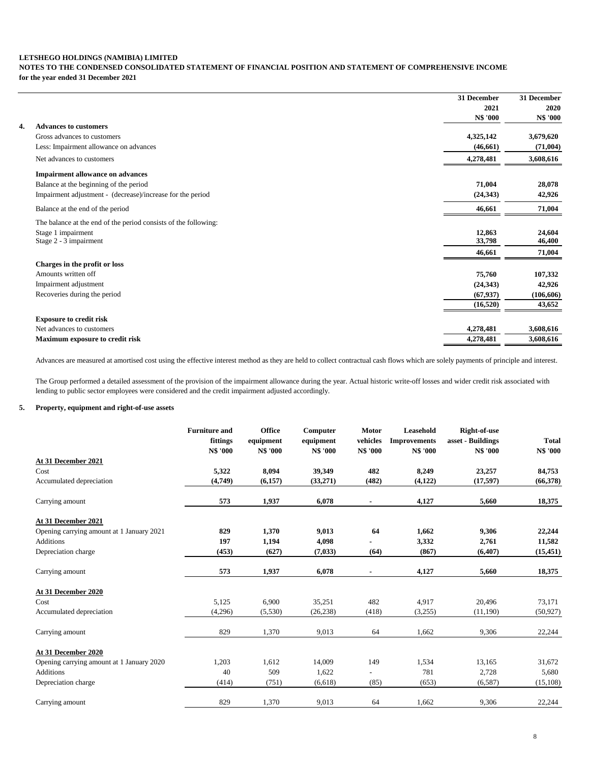# **LETSHEGO HOLDINGS (NAMIBIA) LIMITED NOTES TO THE CONDENSED CONSOLIDATED STATEMENT OF FINANCIAL POSITION AND STATEMENT OF COMPREHENSIVE INCOME for the year ended 31 December 2021**

|    |                                                                 | 31 December     | 31 December     |
|----|-----------------------------------------------------------------|-----------------|-----------------|
|    |                                                                 | 2021            | 2020            |
|    |                                                                 | <b>N\$ '000</b> | <b>N\$ '000</b> |
| 4. | <b>Advances to customers</b>                                    |                 |                 |
|    | Gross advances to customers                                     | 4,325,142       | 3,679,620       |
|    | Less: Impairment allowance on advances                          | (46, 661)       | (71,004)        |
|    | Net advances to customers                                       | 4,278,481       | 3,608,616       |
|    | <b>Impairment allowance on advances</b>                         |                 |                 |
|    | Balance at the beginning of the period                          | 71,004          | 28,078          |
|    | Impairment adjustment - (decrease)/increase for the period      | (24, 343)       | 42,926          |
|    | Balance at the end of the period                                | 46,661          | 71,004          |
|    | The balance at the end of the period consists of the following: |                 |                 |
|    | Stage 1 impairment                                              | 12,863          | 24,604          |
|    | Stage 2 - 3 impairment                                          | 33,798          | 46,400          |
|    |                                                                 | 46,661          | 71,004          |
|    | Charges in the profit or loss                                   |                 |                 |
|    | Amounts written off                                             | 75,760          | 107,332         |
|    | Impairment adjustment                                           | (24, 343)       | 42,926          |
|    | Recoveries during the period                                    | (67, 937)       | (106, 606)      |
|    |                                                                 | (16, 520)       | 43,652          |
|    | <b>Exposure to credit risk</b>                                  |                 |                 |
|    | Net advances to customers                                       | 4,278,481       | 3,608,616       |
|    | Maximum exposure to credit risk                                 | 4,278,481       | 3,608,616       |

Advances are measured at amortised cost using the effective interest method as they are held to collect contractual cash flows which are solely payments of principle and interest.

The Group performed a detailed assessment of the provision of the impairment allowance during the year. Actual historic write-off losses and wider credit risk associated with lending to public sector employees were considered and the credit impairment adjusted accordingly.

# **5. Property, equipment and right-of-use assets**

|                                           | <b>Furniture and</b><br>fittings<br><b>N\$ '000</b> | <b>Office</b><br>equipment<br><b>N\$ '000</b> | Computer<br>equipment<br><b>N\$ '000</b> | <b>Motor</b><br>vehicles<br><b>N\$ '000</b> | Leasehold<br><b>Improvements</b><br><b>N\$ '000</b> | Right-of-use<br>asset - Buildings<br><b>N\$ '000</b> | <b>Total</b><br>N\$ '000 |
|-------------------------------------------|-----------------------------------------------------|-----------------------------------------------|------------------------------------------|---------------------------------------------|-----------------------------------------------------|------------------------------------------------------|--------------------------|
| At 31 December 2021                       |                                                     |                                               |                                          |                                             |                                                     |                                                      |                          |
| Cost                                      | 5,322                                               | 8,094                                         | 39,349                                   | 482                                         | 8,249                                               | 23,257                                               | 84,753                   |
| Accumulated depreciation                  | (4,749)                                             | (6,157)                                       | (33,271)                                 | (482)                                       | (4, 122)                                            | (17, 597)                                            | (66,378)                 |
| Carrying amount                           | 573                                                 | 1,937                                         | 6,078                                    | $\blacksquare$                              | 4,127                                               | 5,660                                                | 18,375                   |
| At 31 December 2021                       |                                                     |                                               |                                          |                                             |                                                     |                                                      |                          |
| Opening carrying amount at 1 January 2021 | 829                                                 | 1,370                                         | 9,013                                    | 64                                          | 1,662                                               | 9,306                                                | 22,244                   |
| Additions                                 | 197                                                 | 1,194                                         | 4,098                                    |                                             | 3,332                                               | 2,761                                                | 11,582                   |
| Depreciation charge                       | (453)                                               | (627)                                         | (7,033)                                  | (64)                                        | (867)                                               | (6, 407)                                             | (15, 451)                |
| Carrying amount                           | 573                                                 | 1,937                                         | 6,078                                    |                                             | 4,127                                               | 5,660                                                | 18,375                   |
| At 31 December 2020                       |                                                     |                                               |                                          |                                             |                                                     |                                                      |                          |
| Cost                                      | 5,125                                               | 6,900                                         | 35,251                                   | 482                                         | 4,917                                               | 20,496                                               | 73,171                   |
| Accumulated depreciation                  | (4,296)                                             | (5,530)                                       | (26, 238)                                | (418)                                       | (3,255)                                             | (11,190)                                             | (50, 927)                |
| Carrying amount                           | 829                                                 | 1,370                                         | 9,013                                    | 64                                          | 1,662                                               | 9,306                                                | 22,244                   |
| At 31 December 2020                       |                                                     |                                               |                                          |                                             |                                                     |                                                      |                          |
| Opening carrying amount at 1 January 2020 | 1,203                                               | 1,612                                         | 14,009                                   | 149                                         | 1,534                                               | 13,165                                               | 31,672                   |
| <b>Additions</b>                          | 40                                                  | 509                                           | 1,622                                    |                                             | 781                                                 | 2,728                                                | 5,680                    |
| Depreciation charge                       | (414)                                               | (751)                                         | (6,618)                                  | (85)                                        | (653)                                               | (6,587)                                              | (15, 108)                |
| Carrying amount                           | 829                                                 | 1,370                                         | 9,013                                    | 64                                          | 1,662                                               | 9,306                                                | 22,244                   |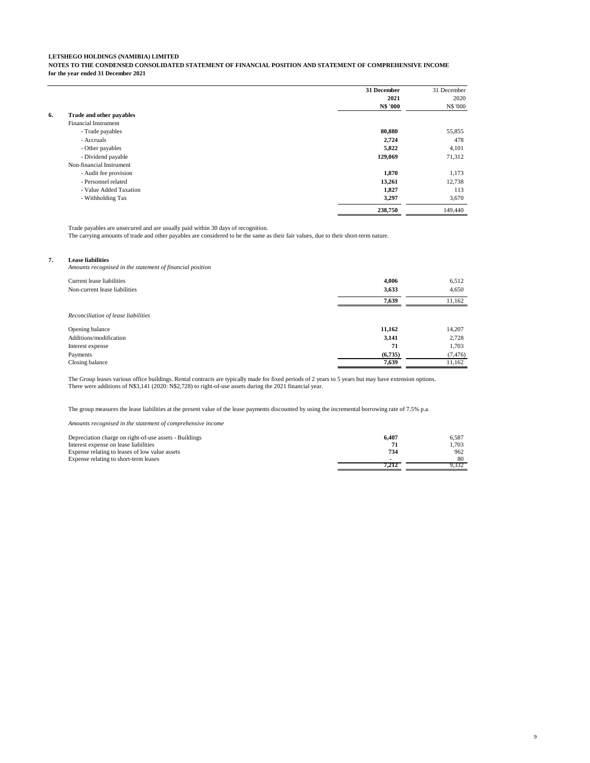**NOTES TO THE CONDENSED CONSOLIDATED STATEMENT OF FINANCIAL POSITION AND STATEMENT OF COMPREHENSIVE INCOME for the year ended 31 December 2021**

|    |                             | 31 December | 31 December |
|----|-----------------------------|-------------|-------------|
|    |                             | 2021        | 2020        |
|    |                             | N\$ '000    | N\$ '000    |
| 6. | Trade and other payables    |             |             |
|    | <b>Financial Instrument</b> |             |             |
|    | - Trade payables            | 80,880      | 55,855      |
|    | - Accruals                  | 2,724       | 478         |
|    | - Other payables            | 5,822       | 4,101       |
|    | - Dividend payable          | 129,069     | 71,312      |
|    | Non-financial Instrument    |             |             |
|    | - Audit fee provision       | 1,870       | 1,173       |
|    | - Personnel related         | 13,261      | 12,738      |
|    | - Value Added Taxation      | 1,827       | 113         |
|    | - Withholding Tax           | 3,297       | 3,670       |
|    |                             | 238,750     | 149,440     |

Trade payables are unsecured and are usually paid within 30 days of recognition.

The carrying amounts of trade and other payables are considered to be the same as their fair values, due to their short-term nature.

#### **7. Lease liabilities**

*Amounts recognised in the statement of financial position*

| Current lease liabilities<br>Non-current lease liabilities | 4,006<br>3,633 | 6,512<br>4,650 |
|------------------------------------------------------------|----------------|----------------|
|                                                            | 7,639          | 11,162         |
| Reconciliation of lease liabilities                        |                |                |
| Opening balance                                            | 11,162         | 14,207         |
| Additions/modification                                     | 3,141          | 2,728          |
| Interest expense                                           | 71             | 1,703          |
| Payments                                                   | (6,735)        | (7, 476)       |
| Closing balance                                            | 7.639          | 11,162         |

The Group leases various office buildings. Rental contracts are typically made for fixed periods of 2 years to 5 years but may have extension options.<br>There were additions of N\$3,141 (2020: N\$2,728) to right-of-use assets

The group measures the lease liabilities at the present value of the lease payments discounted by using the incremental borrowing rate of 7.5% p.a.

*Amounts recognised in the statement of comprehensive income*

| Depreciation charge on right-of-use assets - Buildings | 6.407 | 6.587 |
|--------------------------------------------------------|-------|-------|
| Interest expense on lease liabilities                  |       | 1.703 |
| Expense relating to leases of low value assets         | 734   | 962   |
| Expense relating to short-term leases                  |       | 80    |
|                                                        |       | 9.332 |

9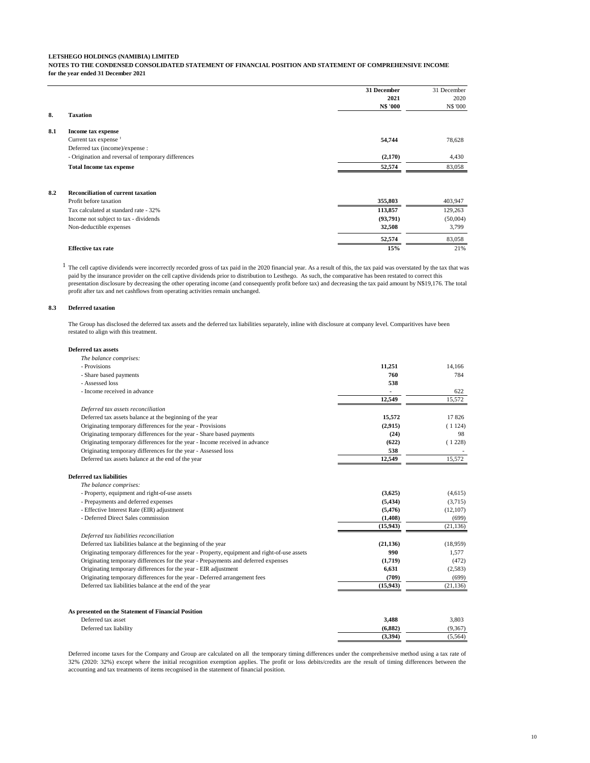**NOTES TO THE CONDENSED CONSOLIDATED STATEMENT OF FINANCIAL POSITION AND STATEMENT OF COMPREHENSIVE INCOME for the year ended 31 December 2021**

|     |                                                     | 31 December | 31 December |
|-----|-----------------------------------------------------|-------------|-------------|
|     |                                                     | 2021        | 2020        |
|     |                                                     | N\$ '000    | N\$ '000    |
| 8.  | Taxation                                            |             |             |
| 8.1 | Income tax expense                                  |             |             |
|     | Current tax expense $1$                             | 54,744      | 78,628      |
|     | Deferred tax (income)/expense:                      |             |             |
|     | - Origination and reversal of temporary differences | (2,170)     | 4.430       |
|     | <b>Total Income tax expense</b>                     | 52,574      | 83,058      |
|     |                                                     |             |             |

| 8.2<br><b>Reconciliation of current taxation</b> |          |          |
|--------------------------------------------------|----------|----------|
| Profit before taxation                           | 355,803  | 403.947  |
| Tax calculated at standard rate - 32%            | 113.857  | 129.263  |
| Income not subject to tax - dividends            | (93.791) | (50,004) |
| Non-deductible expenses                          | 32.508   | 3.799    |
|                                                  | 52,574   | 83,058   |
| <b>Effective tax rate</b>                        | 15%      | 21%      |

 $<sup>1</sup>$  The cell captive dividends were incorrectly recorded gross of tax paid in the 2020 financial year. As a result of this, the tax paid was overstated by the tax that was</sup> paid by the insurance provider on the cell captive dividends prior to distribution to Lesthego. As such, the comparative has been restated to correct this presentation disclosure by decreasing the other operating income (and consequently profit before tax) and decreasing the tax paid amount by N\$19,176. The total profit after tax and net cashflows from operating activities remain unchanged.

#### **8.3 Deferred taxation**

The Group has disclosed the deferred tax assets and the deferred tax liabilities separately, inline with disclosure at company level. Comparitives have been restated to align with this treatment.

| Deferred tax assets                                                                          |           |           |
|----------------------------------------------------------------------------------------------|-----------|-----------|
| The balance comprises:                                                                       |           |           |
| - Provisions                                                                                 | 11,251    | 14,166    |
| - Share based payments                                                                       | 760       | 784       |
| - Assessed loss                                                                              | 538       |           |
| - Income received in advance                                                                 |           | 622       |
|                                                                                              | 12,549    | 15,572    |
| Deferred tax assets reconciliation                                                           |           |           |
| Deferred tax assets balance at the beginning of the year                                     | 15,572    | 17826     |
| Originating temporary differences for the year - Provisions                                  | (2,915)   | (1124)    |
| Originating temporary differences for the year - Share based payments                        | (24)      | 98        |
| Originating temporary differences for the year - Income received in advance                  | (622)     | (1228)    |
| Originating temporary differences for the year - Assessed loss                               | 538       |           |
| Deferred tax assets balance at the end of the year                                           | 12,549    | 15,572    |
| Deferred tax liabilities                                                                     |           |           |
| The balance comprises:                                                                       |           |           |
| - Property, equipment and right-of-use assets                                                | (3,625)   | (4,615)   |
| - Prepayments and deferred expenses                                                          | (5, 434)  | (3,715)   |
| - Effective Interest Rate (EIR) adjustment                                                   | (5, 476)  | (12, 107) |
| - Deferred Direct Sales commission                                                           | (1,408)   | (699)     |
|                                                                                              | (15, 943) | (21, 136) |
| Deferred tax liabilities reconciliation                                                      |           |           |
| Deferred tax liabilities balance at the beginning of the year                                | (21, 136) | (18,959)  |
| Originating temporary differences for the year - Property, equipment and right-of-use assets | 990       | 1,577     |
| Originating temporary differences for the year - Prepayments and deferred expenses           | (1,719)   | (472)     |
| Originating temporary differences for the year - EIR adjustment                              | 6,631     | (2,583)   |
| Originating temporary differences for the year - Deferred arrangement fees                   | (709)     | (699)     |
| Deferred tax liabilities balance at the end of the year                                      | (15, 943) | (21, 136) |
|                                                                                              |           |           |
| As presented on the Statement of Financial Position                                          |           |           |
| Deferred tax asset                                                                           | 3.488     | 3.803     |

Deferred tax liability **(6,882)** (9,367) (9,367) (9,367)  **(3,394)** (5,564) Deferred income taxes for the Company and Group are calculated on all the temporary timing differences under the comprehensive method using a tax rate of 32% (2020: 32%) except where the initial recognition exemption applies. The profit or loss debits/credits are the result of timing differences between the

accounting and tax treatments of items recognised in the statement of financial position.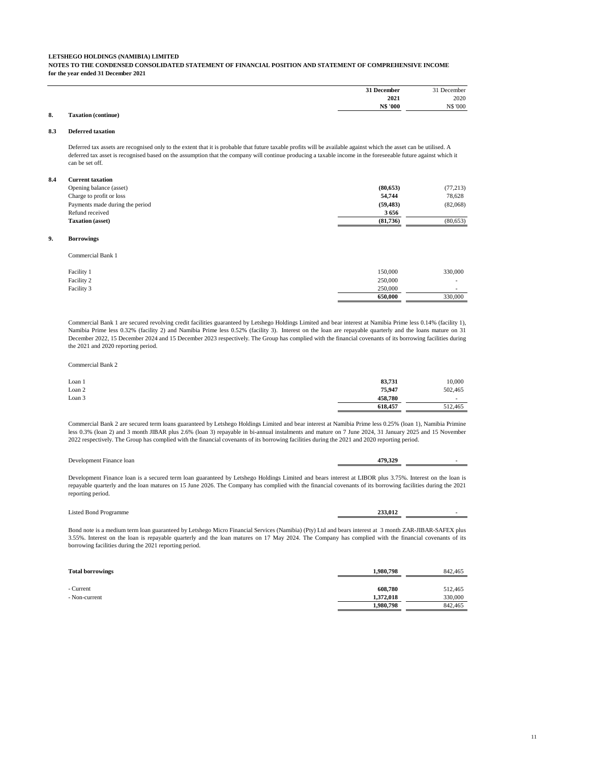**NOTES TO THE CONDENSED CONSOLIDATED STATEMENT OF FINANCIAL POSITION AND STATEMENT OF COMPREHENSIVE INCOME for the year ended 31 December 2021**

| <sup>21</sup> December | December<br>$^{\circ}$ |
|------------------------|------------------------|
| 2021                   | 2020                   |
| <b>N\$ '000</b>        | <b>N\$ '000</b>        |

# **8. Taxation (continue)**

#### **8.3 Deferred taxation**

Deferred tax assets are recognised only to the extent that it is probable that future taxable profits will be available against which the asset can be utilised. A deferred tax asset is recognised based on the assumption that the company will continue producing a taxable income in the foreseeable future against which it can be set off.

#### **8.4 Current taxation**

| Opening balance (asset)         | (80, 653) | (77, 213) |
|---------------------------------|-----------|-----------|
| Charge to profit or loss        | 54,744    | 78.628    |
| Payments made during the period | (59.483)  | (82,068)  |
| Refund received                 | 3656      |           |
| <b>Taxation</b> (asset)         | (81.736)  | (80, 653) |

#### **9. Borrowings**

Commercial Bank 1

| Facility 1 | 150,000 | 330,000                  |
|------------|---------|--------------------------|
| Facility 2 | 250,000 |                          |
| Facility 3 | 250,000 | $\overline{\phantom{a}}$ |
|            | 650,000 | 330,000                  |

Commercial Bank 1 are secured revolving credit facilities guaranteed by Letshego Holdings Limited and bear interest at Namibia Prime less 0.14% (facility 1), Namibia Prime less 0.32% (facility 2) and Namibia Prime less 0.52% (facility 3). Interest on the loan are repayable quarterly and the loans mature on 31 December 2022, 15 December 2024 and 15 December 2023 respectively. The Group has complied with the financial covenants of its borrowing facilities during the 2021 and 2020 reporting period.

Commercial Bank 2

| Loan 1 | 83,731  | 10,000  |
|--------|---------|---------|
| Loan 2 | 75.947  | 502,465 |
| Loan 3 | 458.780 |         |
|        | 618.457 | 512,465 |

Commercial Bank 2 are secured term loans guaranteed by Letshego Holdings Limited and bear interest at Namibia Prime less 0.25% (loan 1), Namibia Primine less 0.3% (loan 2) and 3 month JIBAR plus 2.6% (loan 3) repayable in bi-annual instalments and mature on 7 June 2024, 31 January 2025 and 15 November 2022 respectively. The Group has complied with the financial covenants of its borrowing facilities during the 2021 and 2020 reporting period.

| <b>Development</b><br>. Fzanec<br>loan | 70 |  |
|----------------------------------------|----|--|
|                                        |    |  |

Development Finance loan is a secured term loan guaranteed by Letshego Holdings Limited and bears interest at LIBOR plus 3.75%. Interest on the loan is repayable quarterly and the loan matures on 15 June 2026. The Company has complied with the financial covenants of its borrowing facilities during the 2021 reporting period.

Listed Bond Programme **233,012** -

Bond note is a medium term loan guaranteed by Letshego Micro Financial Services (Namibia) (Pty) Ltd and bears interest at 3 month ZAR-JIBAR-SAFEX plus 3.55%. Interest on the loan is repayable quarterly and the loan matures on 17 May 2024. The Company has complied with the financial covenants of its borrowing facilities during the 2021 reporting period.

| <b>Total borrowings</b> | 1,980,798 | 842,465 |
|-------------------------|-----------|---------|
|                         |           |         |
| - Current               | 608.780   | 512,465 |
| - Non-current           | 1.372.018 | 330,000 |
|                         | 1,980,798 | 842,465 |
|                         |           |         |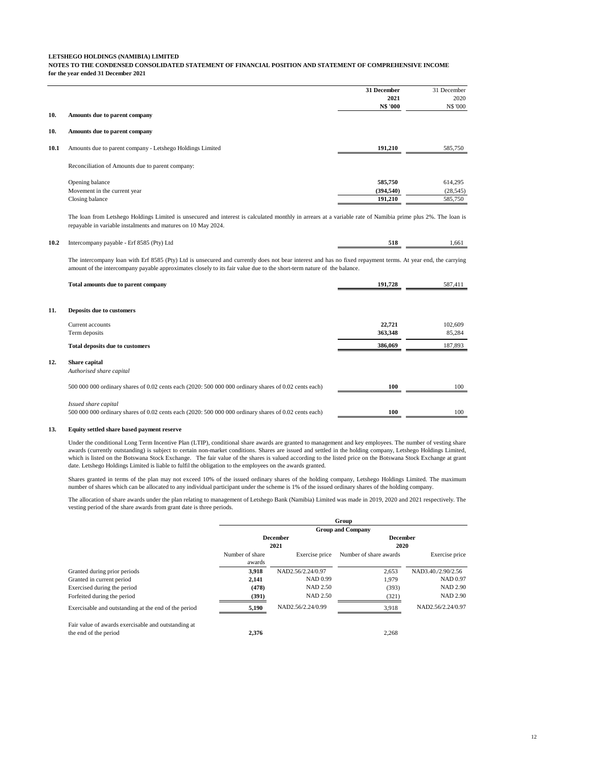**NOTES TO THE CONDENSED CONSOLIDATED STATEMENT OF FINANCIAL POSITION AND STATEMENT OF COMPREHENSIVE INCOME for the year ended 31 December 2021**

|      |                                                           | 31 December | 31 December     |
|------|-----------------------------------------------------------|-------------|-----------------|
|      |                                                           | 2021        | 2020            |
|      |                                                           | N\$ '000    | <b>N\$ '000</b> |
| 10.  | Amounts due to parent company                             |             |                 |
| 10.  | Amounts due to parent company                             |             |                 |
| 10.1 | Amounts due to parent company - Letshego Holdings Limited | 191,210     | 585,750         |
|      | Reconciliation of Amounts due to parent company:          |             |                 |
|      | Opening balance                                           | 585,750     | 614,295         |
|      | Movement in the current year                              | (394, 540)  | (28, 545)       |
|      | Closing balance                                           | 191,210     | 585,750         |

The loan from Letshego Holdings Limited is unsecured and interest is calculated monthly in arrears at a variable rate of Namibia prime plus 2%. The loan is repayable in variable instalments and matures on 10 May 2024.

| 10.2 | Intercompany payable - Erf 8585 (Pty) Ltd | 518 | 661 |
|------|-------------------------------------------|-----|-----|
|      |                                           |     |     |

The intercompany loan with Erf 8585 (Pty) Ltd is unsecured and currently does not bear interest and has no fixed repayment terms. At year end, the carrying amount of the intercompany payable approximates closely to its fair value due to the short-term nature of the balance.

| Total amounts due to parent company                                                                                           | 191,728 | 587,411 |  |
|-------------------------------------------------------------------------------------------------------------------------------|---------|---------|--|
|                                                                                                                               |         |         |  |
| 11.<br>Deposits due to customers                                                                                              |         |         |  |
| Current accounts                                                                                                              | 22,721  | 102,609 |  |
| Term deposits                                                                                                                 | 363,348 | 85,284  |  |
| <b>Total deposits due to customers</b>                                                                                        | 386,069 | 187,893 |  |
| 12.<br>Share capital                                                                                                          |         |         |  |
| Authorised share capital                                                                                                      |         |         |  |
| 500 000 000 ordinary shares of 0.02 cents each (2020: 500 000 000 ordinary shares of 0.02 cents each)                         | 100     | 100     |  |
| Issued share capital<br>500 000 000 ordinary shares of 0.02 cents each (2020: 500 000 000 ordinary shares of 0.02 cents each) | 100     | 100     |  |

#### **13. Equity settled share based payment reserve**

**12.** 

Under the conditional Long Term Incentive Plan (LTIP), conditional share awards are granted to management and key employees. The number of vesting share awards (currently outstanding) is subject to certain non-market conditions. Shares are issued and settled in the holding company, Letshego Holdings Limited, which is listed on the Botswana Stock Exchange. The fair value of the shares is valued according to the listed price on the Botswana Stock Exchange at grant date. Letshego Holdings Limited is liable to fulfil the obligation to the employees on the awards granted.

Shares granted in terms of the plan may not exceed 10% of the issued ordinary shares of the holding company, Letshego Holdings Limited. The maximum number of shares which can be allocated to any individual participant under the scheme is 1% of the issued ordinary shares of the holding company.

The allocation of share awards under the plan relating to management of Letshego Bank (Namibia) Limited was made in 2019, 2020 and 2021 respectively. The vesting period of the share awards from grant date is three periods.

|                                                      |                 |                   | Group                    |                    |
|------------------------------------------------------|-----------------|-------------------|--------------------------|--------------------|
|                                                      |                 |                   | <b>Group and Company</b> |                    |
|                                                      |                 | <b>December</b>   | <b>December</b>          |                    |
|                                                      |                 | 2021              | 2020                     |                    |
|                                                      | Number of share | Exercise price    | Number of share awards   | Exercise price     |
|                                                      | awards          |                   |                          |                    |
| Granted during prior periods                         | 3.918           | NAD2.56/2.24/0.97 | 2.653                    | NAD3.40./2.90/2.56 |
| Granted in current period                            | 2,141           | NAD 0.99          | 1.979                    | NAD 0.97           |
| Exercised during the period                          | (478)           | NAD 2.50          | (393)                    | <b>NAD 2.90</b>    |
| Forfeited during the period                          | (391)           | NAD 2.50          | (321)                    | <b>NAD 2.90</b>    |
| Exercisable and outstanding at the end of the period | 5,190           | NAD2.56/2.24/0.99 | 3,918                    | NAD2.56/2.24/0.97  |
| Fair value of awards exercisable and outstanding at  |                 |                   |                          |                    |
| the end of the period                                | 2.376           |                   | 2.268                    |                    |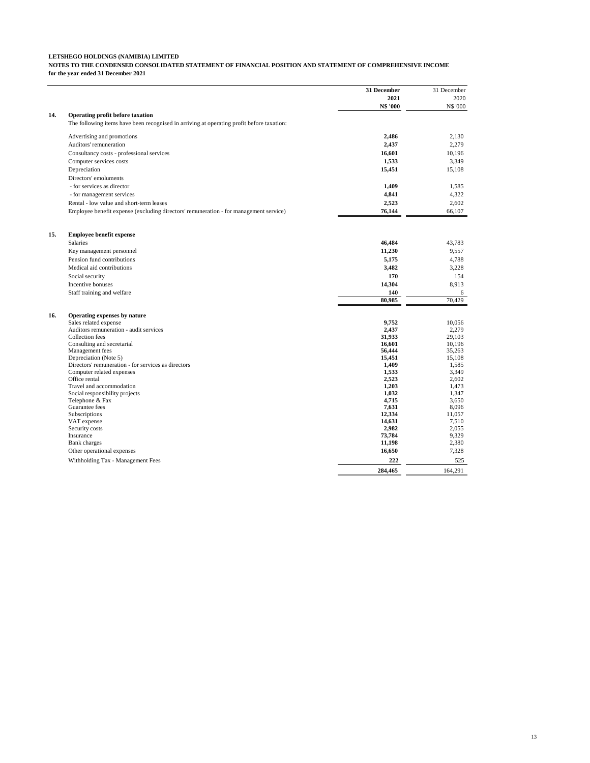**NOTES TO THE CONDENSED CONSOLIDATED STATEMENT OF FINANCIAL POSITION AND STATEMENT OF COMPREHENSIVE INCOME for the year ended 31 December 2021**

|     |                                                                                           | 31 December      | 31 December      |
|-----|-------------------------------------------------------------------------------------------|------------------|------------------|
|     |                                                                                           | 2021             | 2020             |
|     |                                                                                           | N\$ '000         | <b>N\$ '000</b>  |
| 14. | <b>Operating profit before taxation</b>                                                   |                  |                  |
|     | The following items have been recognised in arriving at operating profit before taxation: |                  |                  |
|     | Advertising and promotions                                                                | 2.486            | 2.130            |
|     | Auditors' remuneration                                                                    | 2,437            | 2,279            |
|     | Consultancy costs - professional services                                                 | 16,601           | 10,196           |
|     | Computer services costs                                                                   | 1,533            | 3,349            |
|     | Depreciation                                                                              | 15,451           | 15,108           |
|     | Directors' emoluments                                                                     |                  |                  |
|     | - for services as director                                                                | 1,409            | 1,585            |
|     | - for management services                                                                 | 4,841            | 4,322            |
|     | Rental - low value and short-term leases                                                  | 2,523            | 2.602            |
|     |                                                                                           | 76,144           | 66,107           |
|     | Employee benefit expense (excluding directors' remuneration - for management service)     |                  |                  |
| 15. | <b>Employee benefit expense</b>                                                           |                  |                  |
|     | <b>Salaries</b>                                                                           | 46,484           | 43.783           |
|     | Key management personnel                                                                  | 11,230           | 9,557            |
|     | Pension fund contributions                                                                | 5,175            | 4,788            |
|     | Medical aid contributions                                                                 | 3,482            | 3,228            |
|     | Social security                                                                           | 170              | 154              |
|     |                                                                                           |                  | 8,913            |
|     | Incentive bonuses                                                                         | 14,304           |                  |
|     | Staff training and welfare                                                                | 140              | 6                |
|     |                                                                                           | 80,985           | 70,429           |
| 16. | Operating expenses by nature                                                              |                  |                  |
|     | Sales related expense                                                                     | 9,752            | 10.056           |
|     | Auditors remuneration - audit services                                                    | 2,437            | 2,279            |
|     | Collection fees                                                                           | 31,933           | 29,103           |
|     | Consulting and secretarial<br>Management fees                                             | 16.601<br>56,444 | 10,196<br>35,263 |
|     | Depreciation (Note 5)                                                                     | 15,451           | 15,108           |
|     | Directors' remuneration - for services as directors                                       | 1,409            | 1.585            |
|     | Computer related expenses                                                                 | 1,533            | 3.349            |
|     | Office rental                                                                             | 2,523            | 2,602            |
|     | Travel and accommodation                                                                  | 1,203            | 1.473            |
|     | Social responsibility projects                                                            | 1,032            | 1.347            |
|     | Telephone & Fax                                                                           | 4,715            | 3,650            |
|     | Guarantee fees                                                                            | 7,631            | 8,096            |
|     | Subscriptions                                                                             | 12.334           | 11.057           |
|     | VAT expense<br>Security costs                                                             | 14,631<br>2,982  | 7,510<br>2.055   |
|     | Insurance                                                                                 | 73,784           | 9.329            |
|     | Bank charges                                                                              | 11,198           | 2,380            |
|     | Other operational expenses                                                                | 16,650           | 7.328            |
|     | Withholding Tax - Management Fees                                                         | 222              | 525              |
|     |                                                                                           | 284,465          | 164.291          |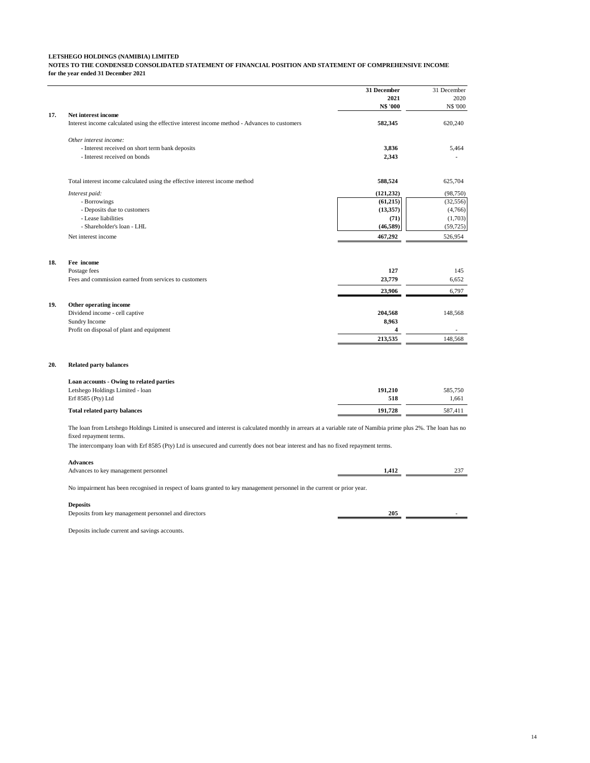**NOTES TO THE CONDENSED CONSOLIDATED STATEMENT OF FINANCIAL POSITION AND STATEMENT OF COMPREHENSIVE INCOME for the year ended 31 December 2021**

|     |                                                                                                                                                                                           | 31 December             | 31 December    |
|-----|-------------------------------------------------------------------------------------------------------------------------------------------------------------------------------------------|-------------------------|----------------|
|     |                                                                                                                                                                                           | 2021                    | 2020           |
|     |                                                                                                                                                                                           | N\$ '000                | <b>NS '000</b> |
| 17. | Net interest income                                                                                                                                                                       |                         |                |
|     | Interest income calculated using the effective interest income method - Advances to customers                                                                                             | 582,345                 | 620,240        |
|     | Other interest income:                                                                                                                                                                    |                         |                |
|     | - Interest received on short term bank deposits                                                                                                                                           | 3,836                   | 5,464          |
|     | - Interest received on bonds                                                                                                                                                              | 2,343                   |                |
|     | Total interest income calculated using the effective interest income method                                                                                                               | 588,524                 | 625,704        |
|     |                                                                                                                                                                                           |                         |                |
|     | Interest paid:                                                                                                                                                                            | (121, 232)              | (98, 750)      |
|     | - Borrowings                                                                                                                                                                              | (61, 215)               | (32, 556)      |
|     | - Deposits due to customers<br>- Lease liabilities                                                                                                                                        | (13, 357)               | (4,766)        |
|     |                                                                                                                                                                                           | (71)                    | (1,703)        |
|     | - Shareholder's loan - LHL                                                                                                                                                                | (46, 589)               | (59, 725)      |
|     | Net interest income                                                                                                                                                                       | 467,292                 | 526,954        |
|     |                                                                                                                                                                                           |                         |                |
| 18. | Fee income                                                                                                                                                                                |                         |                |
|     | Postage fees                                                                                                                                                                              | 127                     | 145            |
|     | Fees and commission earned from services to customers                                                                                                                                     | 23,779                  | 6.652          |
|     |                                                                                                                                                                                           | 23,906                  | 6.797          |
| 19. | Other operating income                                                                                                                                                                    |                         |                |
|     | Dividend income - cell captive                                                                                                                                                            | 204,568                 | 148,568        |
|     | Sundry Income                                                                                                                                                                             | 8,963                   |                |
|     | Profit on disposal of plant and equipment                                                                                                                                                 | $\overline{\mathbf{4}}$ |                |
|     |                                                                                                                                                                                           | 213,535                 | 148,568        |
|     |                                                                                                                                                                                           |                         |                |
| 20. | <b>Related party balances</b>                                                                                                                                                             |                         |                |
|     | Loan accounts - Owing to related parties                                                                                                                                                  |                         |                |
|     | Letshego Holdings Limited - loan                                                                                                                                                          | 191,210                 | 585,750        |
|     | Erf 8585 (Pty) Ltd                                                                                                                                                                        | 518                     | 1,661          |
|     | <b>Total related party balances</b>                                                                                                                                                       | 191,728                 | 587,411        |
|     | The loan from Letshego Holdings Limited is unsecured and interest is calculated monthly in arrears at a variable rate of Namibia prime plus 2%. The loan has no<br>fixed repayment terms. |                         |                |
|     | The intercompany loan with Erf 8585 (Pty) Ltd is unsecured and currently does not bear interest and has no fixed repayment terms.                                                         |                         |                |
|     | <b>Advances</b>                                                                                                                                                                           |                         |                |
|     | Advances to key management personnel                                                                                                                                                      | 1,412                   | 237            |
|     | No impairment has been recognised in respect of loans granted to key management personnel in the current or prior year.                                                                   |                         |                |

**Deposits**

Deposits from key management personnel and directors **205** - **205** 

Deposits include current and savings accounts.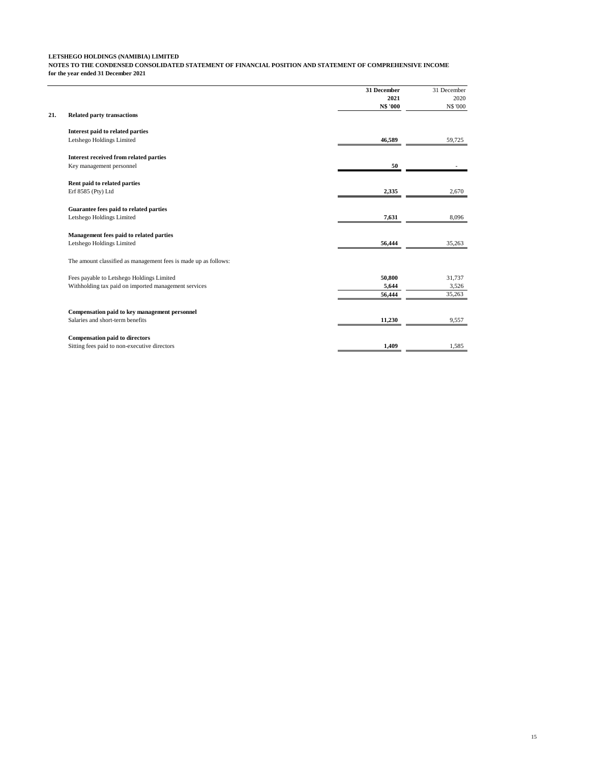**NOTES TO THE CONDENSED CONSOLIDATED STATEMENT OF FINANCIAL POSITION AND STATEMENT OF COMPREHENSIVE INCOME for the year ended 31 December 2021**

|     |                                                                 | 31 December | 31 December     |
|-----|-----------------------------------------------------------------|-------------|-----------------|
|     |                                                                 | 2021        | 2020            |
|     |                                                                 | N\$ '000    | <b>N\$ '000</b> |
| 21. | <b>Related party transactions</b>                               |             |                 |
|     | Interest paid to related parties                                |             |                 |
|     | Letshego Holdings Limited                                       | 46,589      | 59,725          |
|     | <b>Interest received from related parties</b>                   |             |                 |
|     | Key management personnel                                        | 50          |                 |
|     | Rent paid to related parties                                    |             |                 |
|     | Erf 8585 (Pty) Ltd                                              | 2,335       | 2,670           |
|     | Guarantee fees paid to related parties                          |             |                 |
|     | Letshego Holdings Limited                                       | 7,631       | 8,096           |
|     | Management fees paid to related parties                         |             |                 |
|     | Letshego Holdings Limited                                       | 56,444      | 35,263          |
|     | The amount classified as management fees is made up as follows: |             |                 |
|     | Fees payable to Letshego Holdings Limited                       | 50,800      | 31,737          |
|     | Withholding tax paid on imported management services            | 5,644       | 3,526           |
|     |                                                                 | 56,444      | 35,263          |
|     | Compensation paid to key management personnel                   |             |                 |
|     | Salaries and short-term benefits                                | 11,230      | 9,557           |
|     | <b>Compensation paid to directors</b>                           |             |                 |
|     | Sitting fees paid to non-executive directors                    | 1,409       | 1,585           |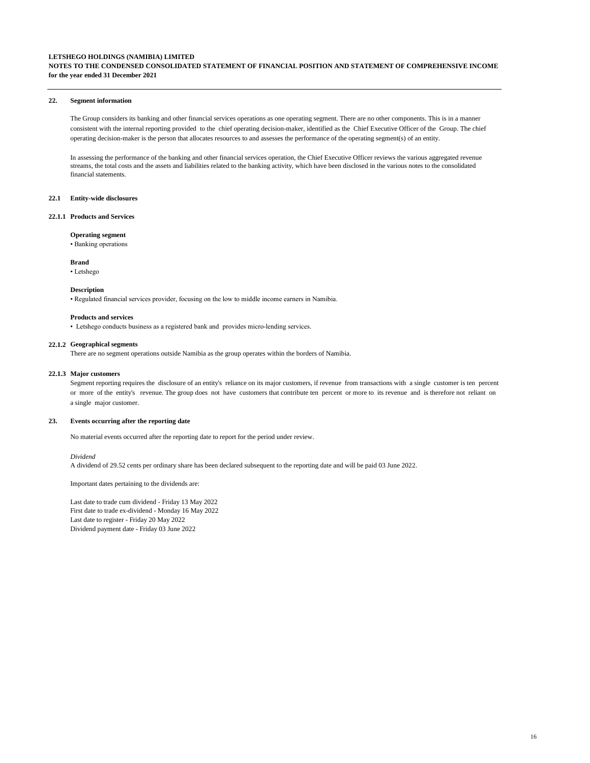# **NOTES TO THE CONDENSED CONSOLIDATED STATEMENT OF FINANCIAL POSITION AND STATEMENT OF COMPREHENSIVE INCOME for the year ended 31 December 2021**

#### **22. Segment information**

The Group considers its banking and other financial services operations as one operating segment. There are no other components. This is in a manner consistent with the internal reporting provided to the chief operating decision-maker, identified as the Chief Executive Officer of the Group. The chief operating decision-maker is the person that allocates resources to and assesses the performance of the operating segment(s) of an entity.

In assessing the performance of the banking and other financial services operation, the Chief Executive Officer reviews the various aggregated revenue streams, the total costs and the assets and liabilities related to the banking activity, which have been disclosed in the various notes to the consolidated financial statements.

#### **22.1 Entity-wide disclosures**

#### **22.1.1 Products and Services**

#### **Operating segment**

• Banking operations

#### **Brand**

• Letshego

#### **Description**

• Regulated financial services provider, focusing on the low to middle income earners in Namibia.

#### **Products and services**

• Letshego conducts business as a registered bank and provides micro-lending services.

#### **22.1.2 Geographical segments**

There are no segment operations outside Namibia as the group operates within the borders of Namibia.

#### **22.1.3 Major customers**

Segment reporting requires the disclosure of an entity's reliance on its major customers, if revenue from transactions with a single customer is ten percent or more of the entity's revenue. The group does not have customers that contribute ten percent or more to its revenue and is therefore not reliant on a single major customer.

#### **23. Events occurring after the reporting date**

No material events occurred after the reporting date to report for the period under review.

#### *Dividend*

A dividend of 29.52 cents per ordinary share has been declared subsequent to the reporting date and will be paid 03 June 2022.

Important dates pertaining to the dividends are:

Last date to trade cum dividend - Friday 13 May 2022 First date to trade ex-dividend - Monday 16 May 2022 Last date to register - Friday 20 May 2022 Dividend payment date - Friday 03 June 2022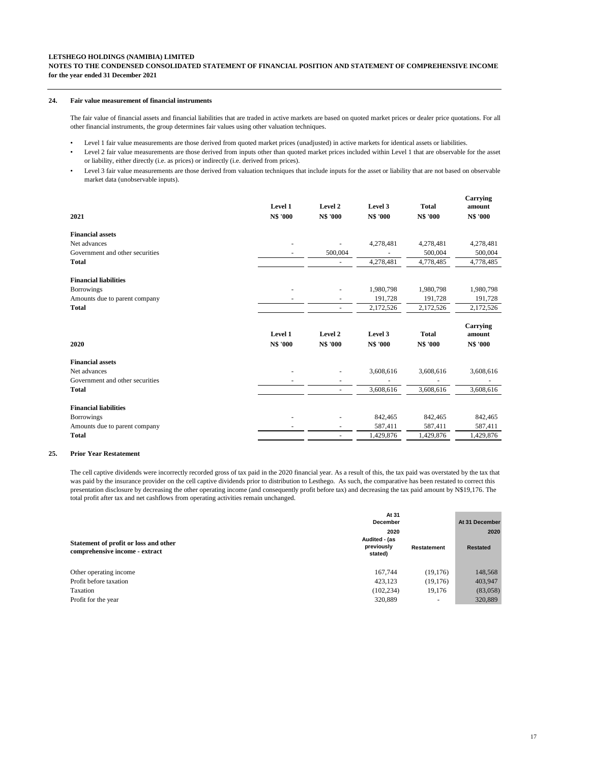# **NOTES TO THE CONDENSED CONSOLIDATED STATEMENT OF FINANCIAL POSITION AND STATEMENT OF COMPREHENSIVE INCOME for the year ended 31 December 2021**

#### **24. Fair value measurement of financial instruments**

The fair value of financial assets and financial liabilities that are traded in active markets are based on quoted market prices or dealer price quotations. For all other financial instruments, the group determines fair values using other valuation techniques.

- Level 1 fair value measurements are those derived from quoted market prices (unadjusted) in active markets for identical assets or liabilities.
- Level 2 fair value measurements are those derived from inputs other than quoted market prices included within Level 1 that are observable for the asset or liability, either directly (i.e. as prices) or indirectly (i.e. derived from prices).
- Level 3 fair value measurements are those derived from valuation techniques that include inputs for the asset or liability that are not based on observable market data (unobservable inputs).

| 2021                            | Level 1<br>N\$ '000 | Level 2<br><b>N\$ '000</b> | Level 3<br>N\$ '000 | <b>Total</b><br>N\$ '000 | Carrying<br>amount<br>N\$ '000 |
|---------------------------------|---------------------|----------------------------|---------------------|--------------------------|--------------------------------|
| <b>Financial assets</b>         |                     |                            |                     |                          |                                |
| Net advances                    |                     | ٠                          | 4,278,481           | 4,278,481                | 4,278,481                      |
| Government and other securities |                     | 500,004                    |                     | 500,004                  | 500,004                        |
| <b>Total</b>                    |                     | $\overline{\phantom{a}}$   | 4,278,481           | 4,778,485                | 4,778,485                      |
| <b>Financial liabilities</b>    |                     |                            |                     |                          |                                |
| <b>Borrowings</b>               |                     |                            | 1,980,798           | 1,980,798                | 1,980,798                      |
| Amounts due to parent company   |                     |                            | 191,728             | 191,728                  | 191,728                        |
| <b>Total</b>                    |                     | $\blacksquare$             | 2,172,526           | 2,172,526                | 2,172,526                      |
| 2020                            | Level 1<br>N\$ '000 | Level 2<br>N\$ '000        | Level 3<br>N\$ '000 | <b>Total</b><br>N\$ '000 | Carrying<br>amount<br>N\$ '000 |
|                                 |                     |                            |                     |                          |                                |
| <b>Financial assets</b>         |                     |                            |                     |                          |                                |
| Net advances                    |                     |                            | 3,608,616           | 3,608,616                | 3,608,616                      |
| Government and other securities |                     |                            |                     |                          |                                |
| <b>Total</b>                    |                     | $\overline{a}$             | 3,608,616           | 3,608,616                | 3,608,616                      |
| <b>Financial liabilities</b>    |                     |                            |                     |                          |                                |
| <b>Borrowings</b>               |                     |                            | 842,465             | 842,465                  | 842,465                        |
| Amounts due to parent company   |                     |                            | 587,411             | 587,411                  | 587,411                        |
| Total                           |                     | ٠                          | 1,429,876           | 1.429.876                | 1,429,876                      |

## **25. Prior Year Restatement**

The cell captive dividends were incorrectly recorded gross of tax paid in the 2020 financial year. As a result of this, the tax paid was overstated by the tax that was paid by the insurance provider on the cell captive dividends prior to distribution to Lesthego. As such, the comparative has been restated to correct this presentation disclosure by decreasing the other operating income (and consequently profit before tax) and decreasing the tax paid amount by N\$19,176. The total profit after tax and net cashflows from operating activities remain unchanged.

|                                       | At 31<br><b>December</b> |                          | At 31 December  |  |
|---------------------------------------|--------------------------|--------------------------|-----------------|--|
| Statement of profit or loss and other | 2020<br>Audited - (as    |                          | 2020            |  |
| comprehensive income - extract        | previously<br>stated)    | Restatement              | <b>Restated</b> |  |
| Other operating income                | 167.744                  | (19, 176)                | 148,568         |  |
| Profit before taxation                | 423.123                  | (19, 176)                | 403,947         |  |
| Taxation                              | (102, 234)               | 19.176                   | (83,058)        |  |
| Profit for the year                   | 320,889                  | $\overline{\phantom{a}}$ | 320,889         |  |